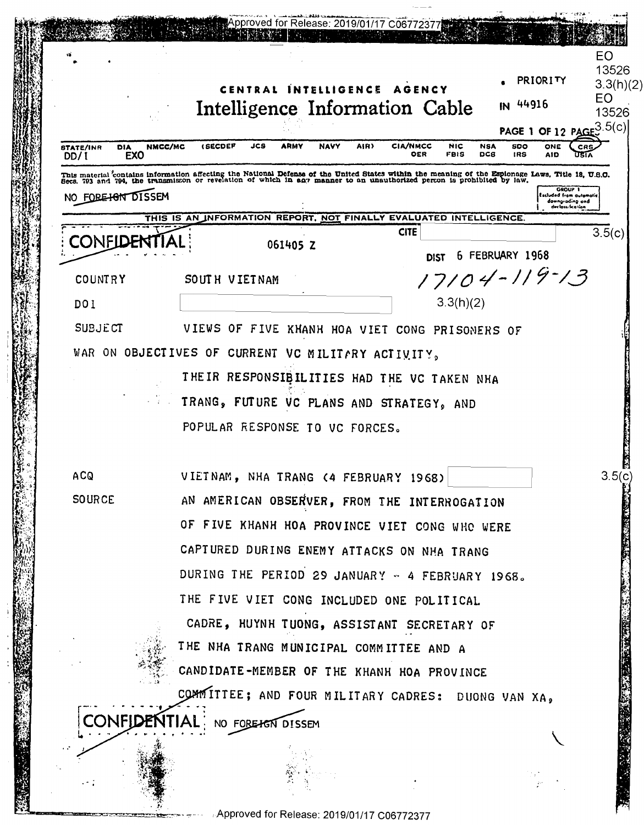|                                                      | 3.3(h)(2)<br>CENTRAL INTELLIGENCE AGENCY<br>EO<br>IN 44916<br>Intelligence Information Cable<br>PAGE 1 OF 12 PAGE <sup>3.5(c)</sup>                                                                                                          |
|------------------------------------------------------|----------------------------------------------------------------------------------------------------------------------------------------------------------------------------------------------------------------------------------------------|
| <b>STATE/INR</b><br><b>DIA</b><br><b>EXO</b><br>DD/1 | <b>NAVY</b><br><b>CIA/NMCC</b><br><b><i>(SECDEP</i></b><br>JCS<br>ARMY<br>AIR)<br>NIC<br><b>SDO</b><br>NMCC/MC<br><b>NSA</b><br>ONE<br>CR <sub>5</sub><br>OER<br>FBIS<br>DCS<br><b>IRS</b><br><b>AID</b>                                     |
|                                                      | This material contains information affecting the National Defense of the United States within the meaning of the Espionage Laws, Title 18, U.S.C.<br>Secs. 793 and 794, the transmisson or revelation of which in any manner to a<br>GROUP 1 |
| NO FORE HON DISSEM                                   | Excluded from automatic<br>downgrading and<br>derlass fication                                                                                                                                                                               |
| CONFIL                                               | THIS IS AN INFORMATION REPORT, NOT FINALLY EVALUATED INTELLIGENCE.<br><b>CITE</b><br>3.5(c)<br>061405 Z<br>6 FEBRUARY 1968                                                                                                                   |
| <b>COUNTRY</b>                                       | <b>DIST</b><br>17104-119-13<br>SOUTH VIETNAM                                                                                                                                                                                                 |
| <b>DO1</b>                                           | 3.3(h)(2)                                                                                                                                                                                                                                    |
| <b>SUBJECT</b>                                       | VIEWS OF FIVE KHANH HOA VIET CONG PRISONERS OF                                                                                                                                                                                               |
|                                                      | WAR ON OBJECTIVES OF CURRENT VC MILITARY ACTIVITY,                                                                                                                                                                                           |
|                                                      | THEIR RESPONSIBILITIES HAD THE VC TAKEN NHA                                                                                                                                                                                                  |
|                                                      | TRANG, FUTURE VC PLANS AND STRATEGY, AND                                                                                                                                                                                                     |
|                                                      | POPULAR RESPONSE TO VC FORCES.                                                                                                                                                                                                               |
|                                                      |                                                                                                                                                                                                                                              |
| <b>ACQ</b>                                           | VIETNAM, NHA TRANG (4 FEBRUARY 1968)                                                                                                                                                                                                         |
| <b>SOURCE</b>                                        | AN AMERICAN OBSERVER, FROM THE INTERROGATION                                                                                                                                                                                                 |
|                                                      | OF FIVE KHANH HOA PROVINCE VIET CONG WHO WERE                                                                                                                                                                                                |
|                                                      | CAPTURED DURING ENEMY ATTACKS ON NHA TRANG                                                                                                                                                                                                   |
|                                                      | DURING THE PERIOD 29 JANUARY - 4 FEBRUARY 1968.                                                                                                                                                                                              |
|                                                      | THE FIVE VIET CONG INCLUDED ONE POLITICAL                                                                                                                                                                                                    |
|                                                      | CADRE, HUYNH TUONG, ASSISTANT SECRETARY OF                                                                                                                                                                                                   |
|                                                      | THE NHA TRANG MUNICIPAL COMMITTEE AND A                                                                                                                                                                                                      |
|                                                      | CANDIDATE-MEMBER OF THE KHANH HOA PROVINCE                                                                                                                                                                                                   |
|                                                      | COMMITTEE; AND FOUR MILITARY CADRES: DUONG VAN XA,                                                                                                                                                                                           |
|                                                      | <b>CONFIDENTIAL</b><br>NO FORE HEN DISSEM                                                                                                                                                                                                    |

**ENGLISHER STATE** 

篇

(深秋)

- 7

 $\cdot$  - - -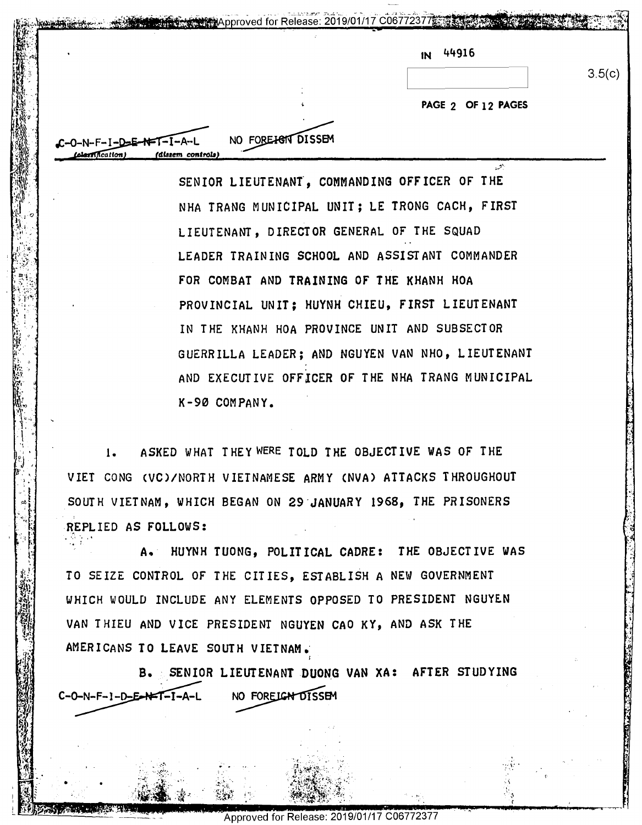| IN |  | 44916 |
|----|--|-------|
|----|--|-------|

**PAGE 2 OF 12 PAGES**  \* PAGE 2 OF 12 PAGES

 $\mathcal{L}$ .··.:-( 3.5(c)

.f ,  $\sim$ {-

*J*;<br>*C*-O-N-F-I-D-E-N-I-I-A-L<br>*(dissem controls)* C-O-N-F-I-D-E-N-T-I-A-L NO FOREHGIV DISSEM cation) (dine-m cannon)

 $\left[\begin{smallmatrix} 1 & 0 & 0 \\ 0 & 0 & 0 \\ 0 & 0 & 0 \end{smallmatrix}\right]$ ; -i:,•,·  $\mathbb{S}^r \times \mathbb{R}^r$  $\frac{1}{2}$ .' I

> '\  $\begin{matrix} \cdot & \cdot & \cdot \cdot \\ \cdot & \cdot & \cdot & \cdot \\ \cdot & \cdot & \cdot & \cdot \end{matrix}$  $\cdot$  ,

> > I  $f^{\prime\prime}$  . The same  $f^{\prime\prime}$

> > > ..

'4- 1251<br>'4- 1252 r 9'

rfi' ' fi\_§%fi\_ ;' 2:".

•

 $\hat{u}$ 

NO FORE<del>IG</del>N DISSEM

**COO772377 2377 3346 SEARCH 2019/01/17 COO772377 3346** 

SENIOR LIEUTENANT, COMMANDING OFFICER OF THE NHA TRANG MUNICIPAL UNIT; LE TRONG CACH, FIRST NHA TRANG MUNICIPAL UNIT; LE TRONG CACH, FIRST LIEUTENANT, DIRECTOR GENERAL OF THE SQUAD LIEUTENANT, DIRECTOR GENERAL OF THE SQUAD LEADER TRAINING SCHOOL AND ASSISTANT COMMANDER LEADER TRAINING SCHOOL AND ASSISTANT COMMANDER FOR COMBAT AND **TRAINING** OF THE KHANH HOA FOR COMBAT AND TRAINING OF THE KHANH HOA PROVINCIAL UNIT; HUYNH CHIEU, FIRST LIEUTENANT PROVINCIAL UNIT; HUYNH CHIEU, FIRST LIEUTENANT IN THE KHANH HOA PROVINCE UNIT AND SUBSECTOR IN THE KHANH HOA PROVINCE UNIT AND SUBSECTOR ; GUERRILLA LEADER; AND NGUYEN VAN NHO, LIEUTENANT GUERRILLA LEADER; AND NGUYEN VAN NHO, LIEUTENANT AND EXECUTIVE OFFICER OF THE NHA TRANG MUNICIPAL AND EXECUTIVE OFFICER OF THE NHA TRANG MUNICIPAL  $K-90$  company.

1. L. ASKED WHAT THEY WERE TOLD THE OBJECTIVE WAS OF THE '3.' I VIET CONG CVC)/NORTH VIETNAMESE **ARMY CNVA) ATTACKS** THROUGHOUT VIET CONG (VC)/NORTH VIETNAMESE ARMY (NVA) ATTACKS THROUGHOUT SOUTH VIETNAM, WHICH BEGAN ON **29-JANUARY 1968,** THE PRISONERS SOUTH VIETNAM, WHICH BEGAN ON 29'JANUARY 1968, THE PRISONERS REPLIED AS FOLLOWS:

 $\begin{bmatrix} 1 & 1 & 1 & 1 \ 1 & 1 & 1 & 1 \end{bmatrix}$  a. HUYNH TUONG, POLITICAL CADRE: THE OBJECTIVE WAS TO SEAN A. HUYNH TUONG, POLITICAL CADRE: THE OBJECTIVE WAS<br>. TO SEIZE CONTROL OF THE CITIES, ESTABLISH A NEW GOVERNMENT WHICH WOULD INCLUDE ANY ELEMENTS OPPOSED TO PRESIDENT NGUYEN (VALUE AND THE STREET AND THE STREET AND THE STREET AND THE STREET AND THE STREET AND THE STREET AND THE STREET AND THE STREET AND THE STREET AND THE STREET AND VAN THIEU AND VICE PRESIDENT NGUYEN CAO KY, AND ASK THE<br>AMERICANS TO LEAVE SOUTH VIETNAM. AMERICANS TO LEAVE SOUTH VIETNAM.- AMERICANS TO LEAVE SOUTH VIETNAM;

AMERICANS TO LEAVE SOUTH VIETNAM.<br>B. Senior Lieutenant Duong Van XA: After Studying (1999) NO FORELGN DISSEM  $C-O-N-F-1-D-E-NFT-I-A-L$ 

> $\mathbb{S}^{n}$  ;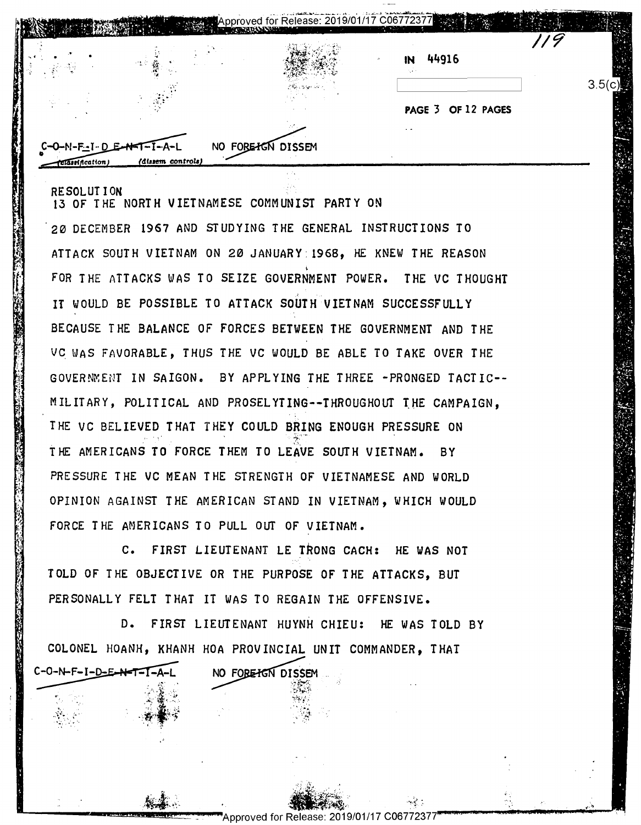| ં કે જે | 44916<br>IN        |      |
|---------|--------------------|------|
|         | PAGE 3 OF 12 PAGES | 3.50 |
|         |                    |      |

.\_ 01' . -. r J .-\_h . . .5 q" |.'i . 'v . .\_ " I . I \I I - I . . t -\_ .' ,: '  $\cdots$ .h'l' - ':":.IIII1I T. \_ ,\_ ۰, . In the case of  $\sim$ . " "I J. ; : .-, . . u. . I -**A** \_  $\mathbf{v}$ 'JI 3 f: -'.i I' -- r7" -'u",- .. : I'. "'3" :I-F,  $\cdot$  .4  $\cdot$  ".  $\mathbf{u}$ u mata u -— ... '5 **I** . -. l . b. .-. J <sup>I</sup> 'g' I'.-1-- $\sim$   $-$ . : ,. <sup>s</sup>' <sup>u</sup> '1'. ...}, n' --.1  $\cdots$  ..t  $\mathbf{W}$ jug... ,1 'r; y... . . .  $-$ I'. <sup>u</sup> ." ' .'  $\mathbf{I}$ : 'L-|Ilf' \_r . ? L . aw'. " u \_.-- - . ..-.'.',,'\_ .'T E .'\_' fir'f <sup>r</sup> " l' l- I;  $\sim$ \_ ' ' v' . 1 1 FJ  $\alpha$  .  $\alpha$ 1"". -. .-:.. . I .\_' . r . .  $\sim$   $\sim$ 72' I ''.l 'O Na 1, ." '. .. | fl: '  $\sim$   $\sim$ '. . f1": 4 .\_ b. d l I 'I n.

RESOLUTION **EXECUTION** 13 OF THE NORTH VIETNAMESE COMMUNIST PARTY ON 15 OF THE NORTH VIETNAMESE COMMUNIST PARTY ON . 20 DECEMBER **1967** AND STUDYING THE GENERAL INSTRUCTIONS TO '23 DECEMBER 1967 AND STUDYING THE GENERAL INSTRUCTIONS TO ATTACK SOUTH VIETNAM ON 20 JANUARY:1968, HE KNEW THE REASON ATTACH SOUTH VIETNAM ON 2B JANUARY21968, HE HNEV THE REASON ' FOR THE ATTACKS WAS TO SEIZE GOVERNMENT POWER. THE VC THOUGHT FOR THE ATTACKS HAS TO SEIZE GOVERNMENT POVER. THE VC THOUGHT IT WOULD BE POSSIBLE TO ATTACK SOUTH VIETNAM SUCCESSFULLY BECAUSE THE BALANCE OF FORCES BETWEEN THE GOVERNMENT AND THE BECAUSE THE BALANCE OF FORCES BETVEEN THE GOVERNMENT AND THE VC WAS FAVORABLE, THUS THE VC WOULD BE ABLE TO TAKE OVER THE GOVERNMENT IN SAIGON. BY APPLYING THE THREE -PRONGED TACTIC--  $\blacksquare$ MILITARY, POLITICAL AND PROSELYTING--THROUGHOUT THE CAMPAIGN, THE VC BELIEVED THAT THEY COULD BRING ENOUGH PRESSURE ON THE AMERICANS TO FORCE THEM TO LEAVE SOUTH VIETNAM. BY PRESSURE THE VC MEAN THE STRENGTH OF VIETNAMESE AND WORLD PRESSURE THE VC MEAN THE STRENGTH OF VIETNAMESE AND VORLD OPINION AGAINST THE AMERICAN STAND IN VIETNAM, WHICH WOULD OPINION AGAINST THE AMERICAN STAND IN VIETNAM, VHICH VOULD FORCE THE AMERICANS TO PULL OUT OF VIETNAM. FORCE THE AMERICANS TO PULL OUT OF VIETNAM.  $\begin{array}{c} \bullet \\ \bullet \end{array}$ THE VC BELIEVED THAT THEY COULD BRING ENOUGH PRESSURE ON<br>THE AMERICANS TO FORCE THEM TO LEAVE SOUTH VIETNAM. BY<br>PRESSURE THE VC MEAN THE STRENGTH OF VIETNAMS WHICH WOULD<br>OPINION AGAINST THE AMERICAN STAND IN VIETNAM.<br>FORCE

C. FIRST LIEUTENANT LE TRONG CACH: HE WAS NOT C. FIRST LIEUTENANT LE\_TRONG CACH: HE VAS NOT TOLD OF THE OBJECTIVE OR THE PURPOSE OF THE ATTACKS, BUT PERSONALLY FELT THAT IT WAS TO REGAIN THE OFFENSIVE. PERSONALLY FELT THAT IT HAS TO REGAIN THE OFFENSIVE.

*i.*  ~

*?j*   $\eta$ 

 $\frac{1}{2}$ 

'r"'n- \_'"'a...u.\_.; -\_ ,4-

 $\frac{1}{2}$ 1

> ,,  $\frac{1}{\sqrt{2}}$  .

 $C-O-N-F-I-D-E-N-T-I-A-L$ 

D. FIRST LIEUTENANT HUYNH CHIEU: HE WAS TOLD BY **De Land Little Has Told By** COLONEL HOANH, KHANH HOA PROVINCIAL UNIT COMMANDER, THAT I WAS TO REGAIN THE<br>EUTENANT HUYNH CHIEL<br>OA PROVINCIAL UNIT C<br>NO FOREHEN DISSEM COLONEL HOANH, KHANH HOA PROVINCIAL UNIT COMMANDER, THAT

> \ "i ' . 'r' .1. -'

> > a

 Tau-'1. .3, \_\ , --- -- <sup>a</sup> .' .' . . 1-" - "'a'iiESj'a. ' . ..r t" . ;" iiflggatifigain .7}. "

geii261'9/01/17C067723/FW <sup>m</sup> ... M... : A.

*,~)- --~X~--* ·•-~: .\_\_ \_\_\_\_\_ !!!!!!!1!!!11!1!!1111!!1!!!~~~-Approved for Release: 2019/01/17 C06772377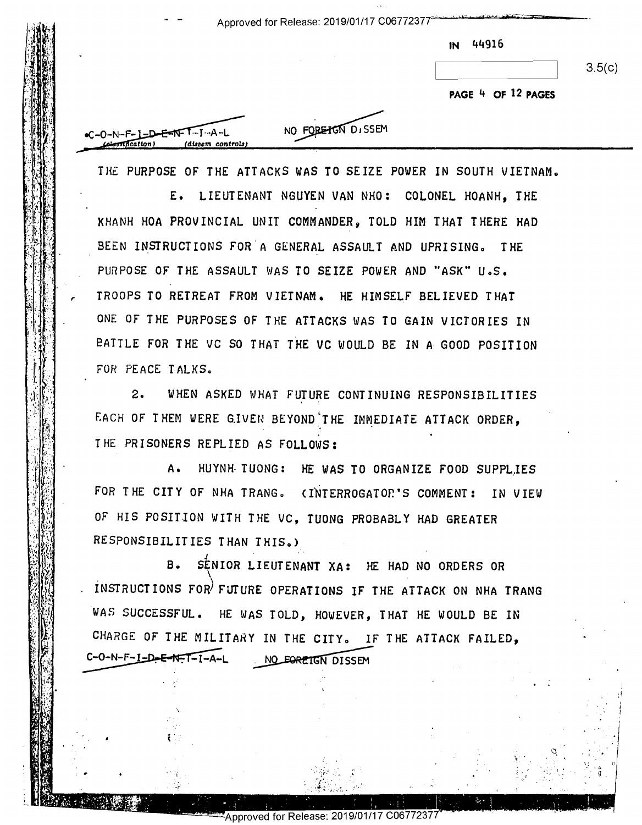Approved for Release: 2019/01/17 C06772377

IN 44916 IN #4916

**PAGE** 4 **OF 12 PAGES**  PAGE '1 OF 12 PAGES

 $\mathcal{L}$  .  $\mathcal{L}$  and  $\mathcal{L}$  and  $\mathcal{L}$  . The components of  $\mathcal{L}$  , and  $\mathcal{L}$ 

 $\cdot$   $\cdot$ 

-

. . '-

セストーン しょうしょう しょうしょう しょうしょう しゅくどう おくもちょう そくぼう 非

 $\mathcal{D}_n$  . In the set of the set of the set of the set of the set of the set of the set of the set of the set of the set of the set of the set of the set of the set of the set of the set of the set of the set of the set

. I '

I! '

, .  $\ddot{\cdot}$  – d . g

.

I ./

| $F - I = D - F - T - T - J - A - L$ | NO FORE TON DISSE |
|-------------------------------------|-------------------|
| Theation)<br>(dissem controls)      |                   |
|                                     |                   |

"

,.

"r

 $\mathcal{L}_1$  . In the contribution of  $\mathcal{L}_2$  . In the contribution of  $\mathcal{L}_1$  . In the contribution of  $\mathcal{L}_2$  . In the contribution of  $\mathcal{L}_2$  . In the contribution of  $\mathcal{L}_1$  ,  $\mathcal{L}_2$  ,  $\mathcal{L}_3$  ,  $\mathcal{L}_4$ 

 $\mathbf{I}$ 

 $\cdot$  .

r.

 $\mathbb{S}$  .

 $C = 0 - N$ 

NO FORE TON DISSEM

THE PURPOSE OF THE ATTACKS WAS TO SEIZE POWER IN SOUTH VIETNAM.

E. LIEUTENANT NGUYEN VAN NHO: COLONEL HOANH, THE E. LIEUTENANT NGUYEN VAN NHO: COLONEL HOANH, THE KHANH HOA PROVINCIAL UNIT COMMANDER, TOLD HIM THAT THERE HAD KHANH HOA PROVINCIAL UNIT CONNANDER, TOLD HIM THAT THERE HAD BEEN INSTRUCTIONS FOR A GENERAL ASSAULT AND UPRISING. THE PURPOSE OF THE ASSAULT WAS TO SEIZE POWER AND "ASK" U.S. PURPOSE OF THE ASSAULT HAS TO SEIZE POUER AND "ASK"U.s. TROOPS TO RETREAT FROM VIETNAM. HE HIMSELF BELIEVED THAT TROOPS TO RETREAT FRON UIETNAN. HE HINSELF BELIEVED THAT ONE OF THE PURPOSES OF' THE ATTACKS WAS TO GAIN VICTORIES IN ONE OF THE PURPOSES OF THE ATTACKS HAS TO GAIN VICTORIES IN BATTLE FOR THE VC SO THAT THE VC WOULD BE IN A GOOD POSITION BATTLE FOR THE vc so THAT THE vC HOULD BE IN A GOOD POSITION FOR PEACE TALKS. WE PURPOSE OF THE ATTACKS WAS TO SET AT ALL MORE 4 OF 12 PAGES<br>
THE PURPOSE OF THE ATTACKS WAS TO SETZE POWER IN SOUTH VIETNAM.<br>
THE PURPOSE OF THE ATTACKS WAS TO SETZE POWER IN SOUTH VIETNAM.<br>
SEEN INSTRUCTIONS FOR A GENE

2. WHEN ASKED WHAT FUTURE CONTINUING RESPONSIBILITIES 2. NHEN ASKED NHAT FUTURE CONTINUING RESPONSIBILITIES EACH OF THEM WERE GIVEN BEYOND THE IMMEDIATE ATTACK ORDER, IHE PRISONERS REPLIED AS FOLLOWS:

A• HUYNH- TUONG: HE WAS TO ORGANIZE FOOD SUPPL,IES A. HUYNH TUONG: HE HAS TO ORGANIZE FOOD SUPPLIES FOR THE CITY OF NHA TRANG. (INTERROGATOR'S COMMENT: IN VIEW  $\frac{M}{M}$  OF HIS POSITION WITH THE VC, TUONG PROBABLY HAD GREATER  $\mathbb{R}^3$  RESPONSIBILITIES THAN THIS.)

B. S<sup>E</sup>NIOR LIEUTENANT XA: HE HAD NO ORDERS OR iNSTRUCTIONS FOW FUTURE OPERATIONS IF' THE ATTACK ON NHA TRANG WAS SUCCESSFUL. HE WAS TOLD, HOWEVER, THAT HE WOULD BE IN CHARGE OF THE MILITARY IN THE CITY. IF THE ATTACK FAILED, E OPERATIONS IF THE ATTACK ON NHAND STOLD, HOWEVER, THAT HE WOULD BET IN THE CITY. IF THE ATTACK FAIL  $\mathbb{R}^3$  B. SENIOR LIEUTENANT XA: HE HAD NO ORDERS OR  $\mathbb{Z}^{\mathbb{N}}_{\mathbb{N}}$  . INSTRUCTIONS FOR FUTURE OPERATIONS IF THE ATTACK ON NHA TRANG C-O-N-F-I-D-E-N-T-I-A-L NO FORETGN DISSEM

.'J 'FI-"P<"1'\'- ' '

. \_. .

I

. . **.** . . .

. -. '

I '-

. .mr -\_ \_ \_ r' ,1  $\sim$  1  $\sim$  1  $\sim$  1  $\sim$  1  $\sim$  1  $\sim$  1  $\sim$  1  $\sim$  1  $\sim$  1  $\sim$  1  $\sim$  1  $\sim$  1  $\sim$  1  $\sim$  1  $\sim$  1  $\sim$  1  $\sim$  1  $\sim$  1  $\sim$  1  $\sim$  1  $\sim$  1  $\sim$  1  $\sim$  1  $\sim$  1  $\sim$  1  $\sim$  1  $\sim$  1  $\sim$  1  $\sim$  1

C -'-J"'- .\_' <sup>a</sup> ' ' -'I I " ' - '- '

'-.

I '

'.-J-' .\_. . <sup>A</sup>

4.3' . 1.3' . 1.3' . 1.3' . 1.3' . 1.3' . 1.3' . 1.3' . 1.3' . 1.3' . 1.3' . 1.3' . 1.3' . 1.3' . 1.3' . 1.3'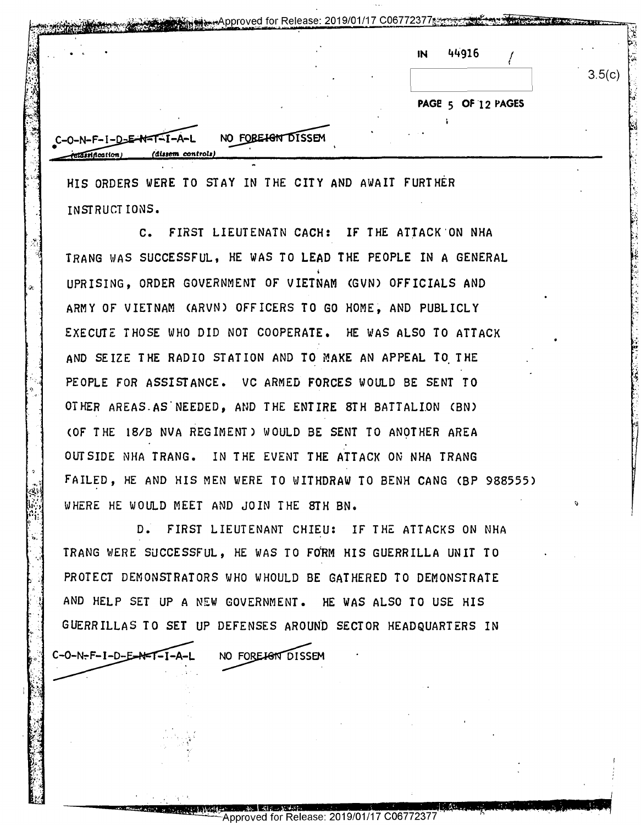|  | 44916<br>IN        |        |
|--|--------------------|--------|
|  |                    | 3.5(c) |
|  | PAGE 5 OF 12 PAGES |        |
|  |                    |        |

HIS ORDERS WERE TO STAY IN THE CITY AND AWAIT FURTHER **INSTRUCTIONS.** 

C. FIRST LIEUTENATN CACH: IF THE ATTACK ON NHA TRANG WAS SUCCESSFUL. HE WAS TO LEAD THE PEOPLE IN A GENERAL UPRISING. ORDER GOVERNMENT OF VIETNAM (GVN) OFFICIALS AND ARMY OF VIETNAM (ARVN) OFFICERS TO GO HOME, AND PUBLICLY EXECUTE THOSE WHO DID NOT COOPERATE. HE WAS ALSO TO ATTACK AND SEIZE THE RADIO STATION AND TO MAKE AN APPEAL TO THE PEOPLE FOR ASSISTANCE. VC ARMED FORCES WOULD BE SENT TO OTHER AREAS AS NEEDED, AND THE ENTIRE STH BATTALION (BN) (OF THE 18/B NVA REGIMENT) WOULD BE SENT TO ANOTHER AREA OUTSIDE NHA TRANG. IN THE EVENT THE ATTACK ON NHA TRANG FAILED, HE AND HIS MEN WERE TO WITHDRAW TO BENH CANG (BP 988555) WHERE HE WOULD MEET AND JOIN THE STH BN.

D. FIRST LIEUTENANT CHIEU: IF THE ATTACKS ON NHA TRANG WERE SUCCESSFUL, HE WAS TO FORM HIS GUERRILLA UNIT TO PROTECT DEMONSTRATORS WHO WHOULD BE GATHERED TO DEMONSTRATE AND HELP SET UP A NEW GOVERNMENT. HE WAS ALSO TO USE HIS GUERRILLAS TO SET UP DEFENSES AROUND SECTOR HEADQUARTERS IN

NO FORE JOINS DISSEM

 $C-O-N-F-I-D-E-AFT-I$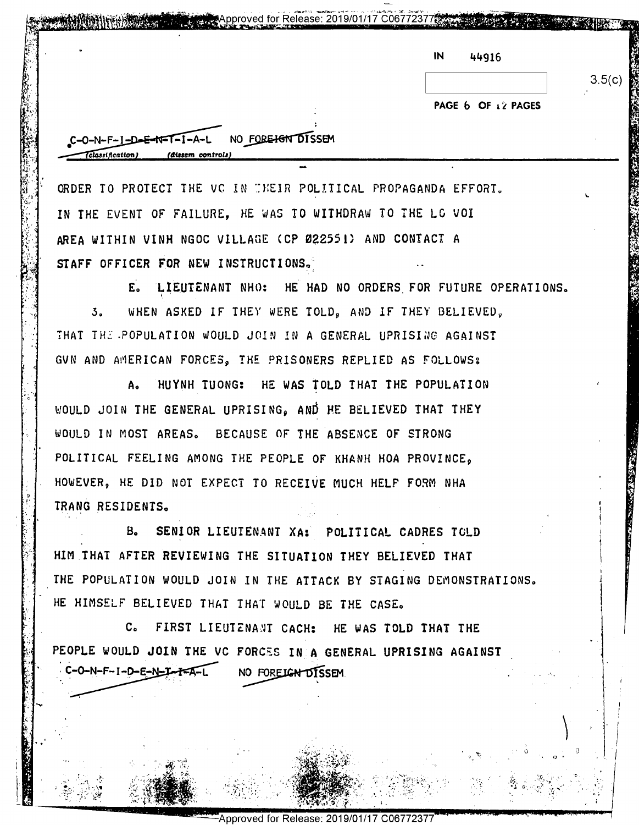| N | 44916 |  |
|---|-------|--|
|   |       |  |

 $3.5(c)$ 

PAGE 6 OF 12 PAGES

NO FORE<del>IGN</del> DISSEM  $C-O-N-F-I-D-E-NF-T-I-A-L$  $T_{\text{classification}}$ (dissem controls)

ORDER TO PROTECT THE VC IN THEIR POLITICAL PROPAGANDA EFFORT. IN THE EVENT OF FAILURE. HE WAS TO WITHDRAW TO THE LC VOI AREA WITHIN VINH NGOC VILLAGE (CP 022551) AND CONTACT A STAFF OFFICER FOR NEW INSTRUCTIONS.

E. LIEUTENANT NHO: HE HAD NO ORDERS FOR FUTURE OPERATIONS.  $3<sub>n</sub>$ WHEN ASKED IF THEY WERE TOLD, AND IF THEY BELIEVED, THAT THE POPULATION WOULD JOIN IN A GENERAL UPRISING AGAINST GUN AND AMERICAN FORCES, THE PRISONERS REPLIED AS FOLLOWS:

Approved for Release: 2019/01/17 C06772377

HUYNH TUONG: HE WAS TOLD THAT THE POPULATION  $A<sub>o</sub>$ WOULD JOIN THE GENERAL UPRISING, AND HE BELIEVED THAT THEY WOULD IN MOST AREAS. BECAUSE OF THE ABSENCE OF STRONG POLITICAL FEELING AMONG THE PEOPLE OF KHANH HOA PROVINCE. HOWEVER, HE DID NOT EXPECT TO RECEIVE MUCH HELF FORM NHA TRANG RESIDENTS.

SENIOR LIEUTENANT XA: POLITICAL CADRES TOLD  $B<sub>n</sub>$ HIM THAT AFTER REVIEWING THE SITUATION THEY BELIEVED THAT THE POPULATION WOULD JOIN IN THE ATTACK BY STAGING DEMONSTRATIONS. HE HIMSELF BELIEVED THAT THAT WOULD BE THE CASE.

C. FIRST LIEUTENANT CACH: HE WAS TOLD THAT THE PEOPLE WOULD JOIN THE VC FORCES IN A GENERAL UPRISING AGAINST C-O-N-F-I-D-E-N-I-I-A-L NO FOREIGN DISSEM.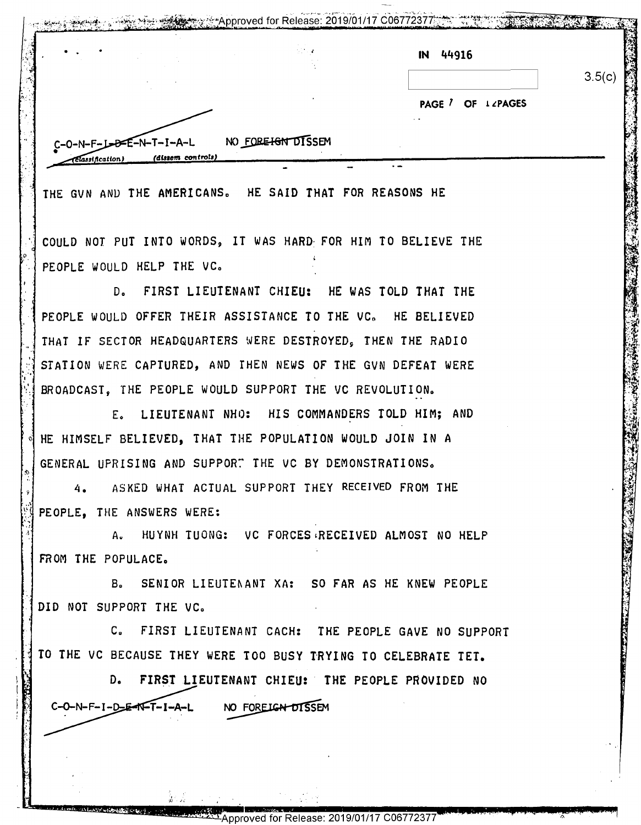|                           | $\mathcal{L}_\mathrm{B} \sim 4$ | 44916<br>IN       |        |
|---------------------------|---------------------------------|-------------------|--------|
|                           |                                 |                   | 3.5(c) |
|                           |                                 | PAGE / OF LZPAGES |        |
|                           |                                 | $\sim$ $\sim$     |        |
| $C-O-N-F-J-D-E-N-T-I-A-L$ | NO FORE IGN DISSEM              |                   |        |

THE GVN AND THE AMERICANS. HE SAID THAT FOR REASONS HE

COULD NOT PUT INTO WORDS, IT WAS HARD FOR HIM TO BELIEVE THE PEOPLE WOULD HELP THE VC.

D. FIRST LIEUTENANT CHIEU: HE WAS TOLD THAT THE PEOPLE WOULD OFFER THEIR ASSISTANCE TO THE VC. HE BELIEVED THAT IF SECTOR HEADQUARTERS WERE DESTROYED, THEN THE RADIO STATION WERE CAPTURED, AND THEN NEWS OF THE GVN DEFEAT WERE BROADCAST, THE PEOPLE WOULD SUPPORT THE VC REVOLUTION.

E. LIEUTENANT NHO: HIS COMMANDERS TOLD HIM; AND HE HIMSELF BELIEVED, THAT THE POPULATION WOULD JOIN IN A GENERAL UPRISING AND SUPPORT THE VC BY DEMONSTRATIONS.

ASKED WHAT ACTUAL SUPPORT THEY RECEIVED FROM THE  $4.$ PEOPLE. THE ANSWERS WERE:

A. HUYNH TUONG: VC FORCES RECEIVED ALMOST NO HELP FROM THE POPULACE.

B. SENIOR LIEUTENANT XA: SO FAR AS HE KNEW PEOPLE DID NOT SUPPORT THE VC.

C. FIRST LIEUTENANT CACH: THE PEOPLE GAVE NO SUPPORT TO THE VC BECAUSE THEY WERE TOO BUSY TRYING TO CELEBRATE TET.

D. FIRST LIEUTENANT CHIEU: THE PEOPLE PROVIDED NO C-O-N-F-I-D-E-N-T-I-A-L NO FOREIGN DISSEM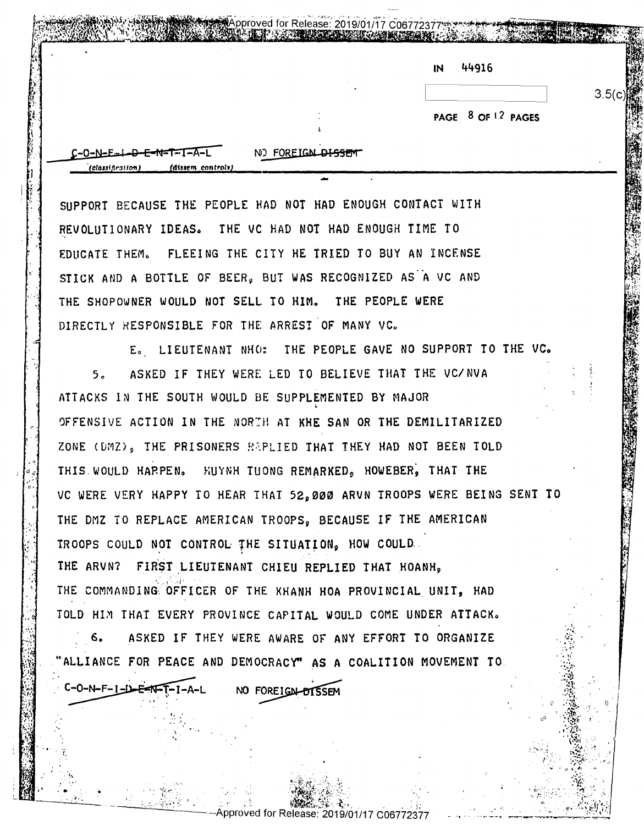| N | 44916 |  |
|---|-------|--|
|---|-------|--|

PAGE 8 OF 12 PAGES

 $3.5(c)$ 

 $C-O-N-E-L-D-E-N-T-I-{\textstyle\bigwedge} -1$ (dissem control

 $C-O-N-F-I - D - E F N - T - I - A - L$ 

NO FOREIGN DISSEM

Approved for Release: 2019/01/17 C06772377

SUPPORT BECAUSE THE PEOPLE HAD NOT HAD ENOUGH CONTACT WITH REVOLUTIONARY IDEAS. THE VC HAD NOT HAD ENOUGH TIME TO EDUCATE THEM. FLEEING THE CITY HE TRIED TO BUY AN INCENSE STICK AND A BOTTLE OF BEER. BUT WAS RECOGNIZED AS A VC AND THE SHOPOWNER WOULD NOT SELL TO HIM. THE PEOPLE WERE DIRECTLY RESPONSIBLE FOR THE ARREST OF MANY VC.

E. LIEUTENANT NHO: THE PEOPLE GAVE NO SUPPORT TO THE VC. ASKED IF THEY WERE LED TO BELIEVE THAT THE VC/NVA  $5<sub>n</sub>$ ATTACKS IN THE SOUTH WOULD BE SUPPLEMENTED BY MAJOR OFFENSIVE ACTION IN THE NORTH AT KHE SAN OR THE DEMILITARIZED ZONE (DMZ), THE PRISONERS REPLIED THAT THEY HAD NOT BEEN TOLD THIS WOULD HARPEN. HUYNH TUONG REMARKED, HOWEBER, THAT THE VC WERE VERY HAPPY TO HEAR THAT 52,000 ARVN TROOPS WERE BEING SENT TO THE DMZ TO REPLACE AMERICAN TROOPS. BECAUSE IF THE AMERICAN TROOPS COULD NOT CONTROL THE SITUATION. HOW COULD. THE ARVN? FIRST LIEUTENANT CHIEU REPLIED THAT HOANH, THE COMMANDING OFFICER OF THE KHANH HOA PROVINCIAL UNIT, HAD TOLD HIM THAT EVERY PROVINCE CAPITAL WOULD COME UNDER ATTACK.

ASKED IF THEY WERE AWARE OF ANY EFFORT TO ORGANIZE  $6.$ "ALLIANCE FOR PEACE AND DEMOCRACY" AS A COALITION MOVEMENT TO.

NO FOREIGN-DISSEM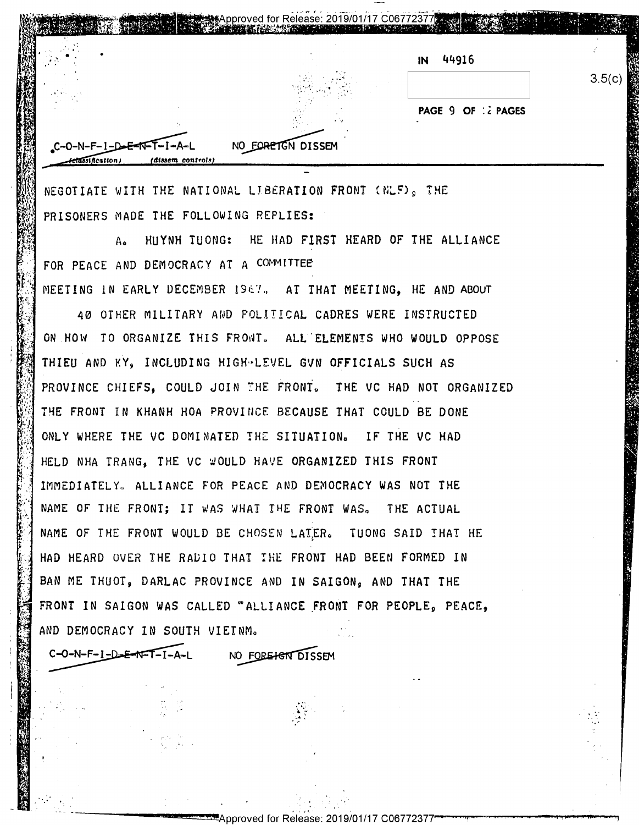|  | 44916<br>IN        |        |
|--|--------------------|--------|
|  |                    | 3.5(c) |
|  | PAGE 9 OF 12 PAGES |        |

NEGOTIATE WITH THE NATIONAL LIBERATION FRONT (NLF), THE PRISONERS MADE THE FOLLOWING REPLIES:

HUYNH TUONG: HE HAD FIRST HEARD OF THE ALLIANCE  $A_{\bullet}$ FOR PEACE AND DEMOCRACY AT A COMMITTEE MEETING IN EARLY DECEMBER 1967. AT THAT MEETING. HE AND ABOUT

40 OTHER MILITARY AND POLITICAL CADRES WERE INSTRUCTED ON HOW TO ORGANIZE THIS FRONT. ALL ELEMENTS WHO WOULD OPPOSE THIEU AND KY, INCLUDING HIGH-LEVEL GVN OFFICIALS SUCH AS PROVINCE CHIEFS. COULD JOIN THE FRONT. THE VC HAD NOT ORGANIZED THE FRONT IN KHANH HOA PROVINCE BECAUSE THAT COULD BE DONE ONLY WHERE THE VC DOMINATED THE SITUATION. IF THE VC HAD HELD NHA TRANG. THE VC WOULD HAVE ORGANIZED THIS FRONT IMMEDIATELY. ALLIANCE FOR PEACE AND DEMOCRACY WAS NOT THE NAME OF THE FRONT; IT WAS WHAT THE FRONT WAS. THE ACTUAL NAME OF THE FRONT WOULD BE CHOSEN LATER. TUONG SAID THAT HE HAD HEARD OVER THE RADIO THAT THE FRONT HAD BEEN FORMED IN BAN ME THUOT, DARLAC PROVINCE AND IN SAIGON, AND THAT THE FRONT IN SAIGON WAS CALLED "ALLIANCE FRONT FOR PEOPLE, PEACE, AND DEMOCRACY IN SOUTH VIEINM.

 $C-O-N-F-I-D=E-NF-T-I-A-L$ 

NO FORE<del>IG</del>N DISSEM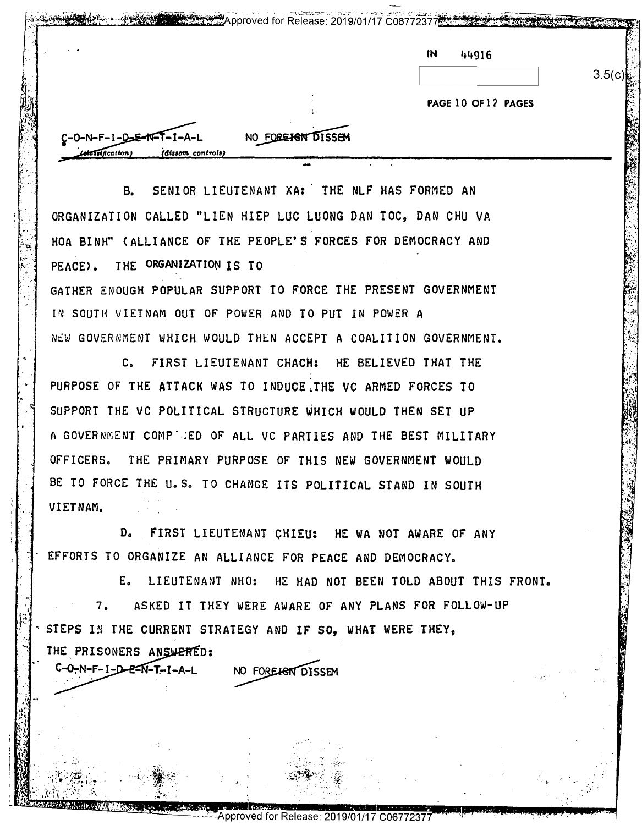|                     | 3.5(c) |
|---------------------|--------|
| PAGE 10 OF 12 PAGES |        |

SENIOR LIEUTENANT XA: THE NLF HAS FORMED AN  $B<sub>z</sub>$ ORGANIZATION CALLED "LIEN HIEP LUC LUONG DAN TOC. DAN CHU VA HOA BINH" (ALLIANCE OF THE PEOPLE'S FORCES FOR DEMOCRACY AND PEACE). THE ORGANIZATION IS TO GATHER ENOUGH POPULAR SUPPORT TO FORCE THE PRESENT GOVERNMENT IN SOUTH VIETNAM OUT OF POWER AND TO PUT IN POWER A NEW GOVERNMENT WHICH WOULD THEN ACCEPT A COALITION GOVERNMENT.

C. FIRST LIEUTENANT CHACH: HE BELIEVED THAT THE PURPOSE OF THE ATTACK WAS TO INDUCE THE VC ARMED FORCES TO SUPPORT THE VC POLITICAL STRUCTURE WHICH WOULD THEN SET UP A GOVERNMENT COMPULED OF ALL VC PARTIES AND THE BEST MILITARY OFFICERS. THE PRIMARY PURPOSE OF THIS NEW GOVERNMENT WOULD BE TO FORCE THE U.S. TO CHANGE ITS POLITICAL STAND IN SOUTH VIETNAM.

D. FIRST LIEUTENANT CHIEU: HE WA NOT AWARE OF ANY EFFORTS TO ORGANIZE AN ALLIANCE FOR PEACE AND DEMOCRACY.

E. LIEUTENANT NHO: HE HAD NOT BEEN TOLD ABOUT THIS FRONT. 7. ASKED IT THEY WERE AWARE OF ANY PLANS FOR FOLLOW-UP STEPS IN THE CURRENT STRATEGY AND IF SO, WHAT WERE THEY, THE PRISONERS ANSWERED:

NO FOREIGN DISSEM

 $C - O - N - F - I - D - E - N - T - I - A - L$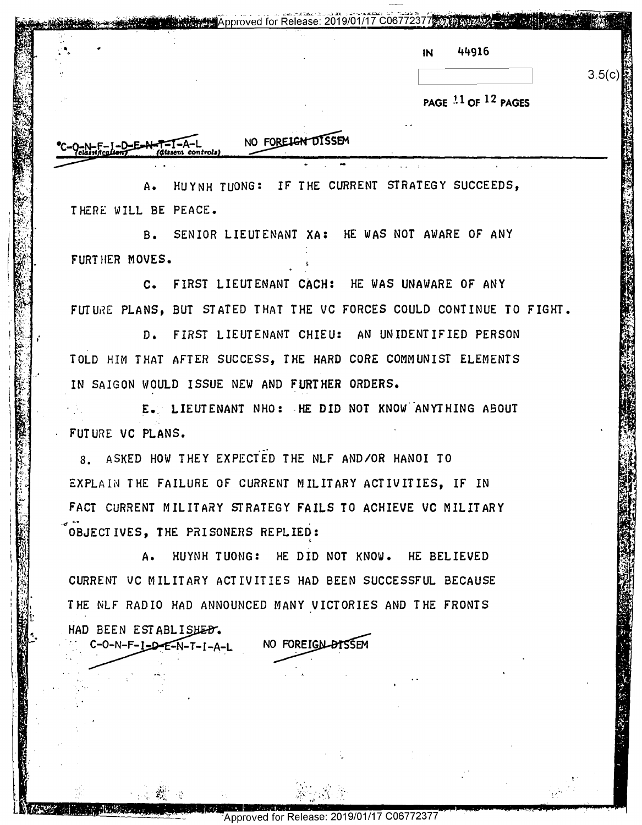|                | Contract and a contract that the second communication is a contract of the contract of the communication of the |   |    |       |  |
|----------------|-----------------------------------------------------------------------------------------------------------------|---|----|-------|--|
|                |                                                                                                                 | . |    |       |  |
|                |                                                                                                                 |   |    |       |  |
| <b>Card St</b> |                                                                                                                 |   |    |       |  |
|                |                                                                                                                 |   |    |       |  |
| .              |                                                                                                                 |   |    | 44916 |  |
|                |                                                                                                                 |   | IN |       |  |
|                |                                                                                                                 |   |    |       |  |
|                |                                                                                                                 |   |    |       |  |

'q'\\_.""'"'\*.'.. - - ~-~.\_ - .rT- -- -- <sup>~</sup> T-T'T-'fl-"m'l-"T' 1" "'-"'\*'-"""'" 'T" "4'" :5 ,, .\_ " '1.1..':\_l';-,TAIPEI-EMA? ' pproved for Release: 2019/01/17 syfiggwfiArm/'1'";- {3%

|<br>|<br>|

| 3.5(c) |
|--------|
|        |

**PAGE** J. **l OF** 12 **PAGES**  PAGE 11 OF 12 PAGES

'- ' a 6'- .n'. '.. '3 , \_ u {:\_. i. "'\_14 .., 1.5-.- '. ' . n. \_ I'I r): .\_',- -\_- . \_ \_- u .. LL. . -\_ \_ t {E'- 'r'%. 1.. "A! Ii - 1 "" I." '- " L-'-" f-\_ :'Jdl '.\_ : ml. . '1-

 $\mathbf{S}$ .\_, y. ; .... -"';-r Riff—4; -'| I '.'\_ -s \_.

 $m$  controls)

. "'.- ("I <sup>I</sup> '\\_ 10:"... \.1"'.I' .- 1.111"; " .f-\_ \_\_ \_,n\_ (a . Ha. .'\_ ' | :"'-~ "if" uw "fii'H-'H .fi!;\$.1¥5¥'-'-H'-'-r~'flb ' " TM" ' ' I . . '

 '. 1- 1.

I'l

,'

I.

 $\sum_{i=1}^N \left\{ \begin{array}{c} 0 \\ 0 \end{array} \right\}$ 

 $\begin{bmatrix} 2 & 1 \ 3 & 4 \end{bmatrix}$ 

 $\mathcal{L} \left( \mathcal{L} \right)$  $: \mathbb{R}^n$  $\lceil \cdot \rceil$ 

--—- 11;".-— .- .. —- —~ ——v\_..-...—-—--—-I-I--" --—-—— v15- 1' . \_. \_ - Ik. .' " -..,-F" ."J. g- .— ' .<br>- - a... Jl'Le – a... Jl'Le – a... Jl'Le – a... Jl'Le – a... Jl'Le – a... Jl'Le – a... Jl'Le – a.. Jl'Le – a.<br>- - a... Jl'Le – a... Jl'Le – a... Jl'Le – a... Jl'Le – a... Jl'Le – a... Jl'Le – a... Jl'Le – a.. Jl'Le – a

:31».

 $E_{\mathcal{A}}$ 

 $\frac{1}{2}$ .  $\frac{1}{2}$ 

 $\chi$ '4' 9.9"." . '

 $\frac{1}{2}$ 

## NO FOREIGN DISSEM

A. HUYNH TUONG: IF' THE CURRENT STRATEGY SUCCEEDS, A. HUYNH TuONC: IF THE CURRENT STRATEGY SUCCEEDS, TH.ERE WILL BE PEACE. THERE MILL BE PEACE.

8. SENIOR LIEUTENANT XA: HE WAS NOT AWARE OF ANY B. SENIOR LIEUTENANT XA: HE HAS NOT AVARE OF ANY FURTHER MOVES.

C. FIRST LIEUTENANT CACH: HE WAS UNAWARE OF ANY C. FIRST LIEUTENANT CACH: HE HAS UNAVARE OF ANY FUTURE PLANS, BUT STATED THAT THE VC FORCES COULD CONTINUE TO FIGHT.

D. FIRST LIEUTENANT CHIEU: AN UNIDENTIFIED PERSON D. FIRST LIEUTENANT CHIEU: AN UNIDENTIFIED PERSON TOLD HIM THAT AFTER SUCCESS, THE HARD CORE COMMUNIST ELEMENTS TOLD HIM THAT AFTER SUCCESS, THE HARD CORE COMMUNIST ELEMENTS IN SAIGON WOULD ISSUE NEW AND FURTHER ORDERS. IN SAIGON WQULD ISSUE NEW AND FURTHER ORDERS.

E. LIEUTENANT NHO: HE DID NOT KNOW ANYTHING ABOUT FUTURE VC PLANS. FUTURE VC PLANS. '1' .<br>|-<br>|-<br>|-

8. ASKED HOW THEY EXPECTED THE NLF AND/OR HANOI TO 3. ASKED HOV THEY EXPECTED THE NLF AND/OR HANOI T0 EXPLAIN THE FAILURE OF CURRENT MILITARY ACTIVITIES, IF IN EXPLAIN THE FAILURE OF CURRENT MILITARY ACTIVITIES, IF IN FACT CURRENT MILITARY STRATEGY FAILS TO ACHIEVE VC MILITARY FACT CURRENT MILITARY STRATEGY FAILS TO ACHIEVE VC MILITARY  $\sim$  0BJECTIVES, THE PRISONERS REPLIED:

A. HUYNH TUONG: HE DID NOT KNOW. HE BELIEVED A. HUYNH TUONG: HE DID NOT KNOV. HE BELIEVED CURRENT VC MILITARY ACTIVITIES HAD BEEN SUCCESSFUL BECAUSE  $\mathbb{N}\!\!\!\!\mathbb{N}\!\!\!\!\mathbb{N}\!\!\!\!\mathbb{N}\!\!\!\mathbb{N}$  . The nLF radio had announced many victories and the fronts HAD BEEN ESTABLISHED. HAD BEEN ESTABLISHED.<br>
C-0-N-F-I-D-E-N-T-I-A-L NO FOREIGN DISSEM  $-2F - N - T - I - A - I$  NO NO FOREIGN DISSEM

 $\mathcal{L} = \mathcal{L} \times \mathcal{L}$  . The set of  $\mathcal{L} = \mathcal{L} \times \mathcal{L}$ 

 $\sim$  .  $\sim$   $\sim$ 

 $\mathcal{L}_{\mathcal{F}}$ 

2""